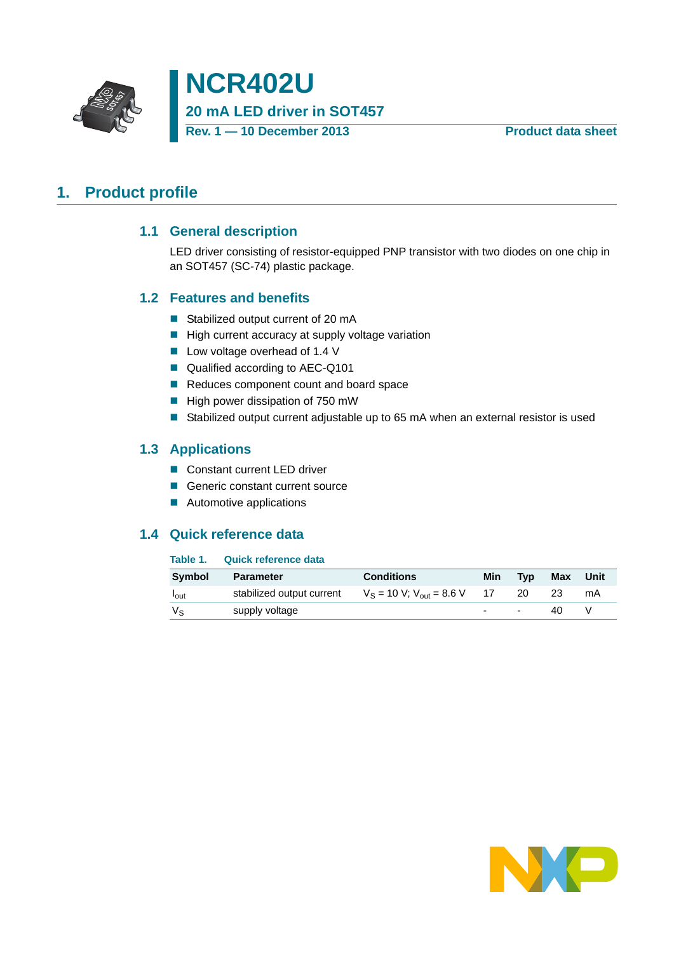



# <span id="page-0-1"></span><span id="page-0-0"></span>**1. Product profile**

#### **1.1 General description**

LED driver consisting of resistor-equipped PNP transistor with two diodes on one chip in an SOT457 (SC-74) plastic package.

#### <span id="page-0-2"></span>**1.2 Features and benefits**

- Stabilized output current of 20 mA
- $\blacksquare$  High current accuracy at supply voltage variation
- Low voltage overhead of 1.4 V
- Qualified according to AEC-Q101
- Reduces component count and board space
- $\blacksquare$  High power dissipation of 750 mW
- Stabilized output current adjustable up to 65 mA when an external resistor is used

#### <span id="page-0-3"></span>**1.3 Applications**

- Constant current LED driver
- Generic constant current source
- **Automotive applications**

#### <span id="page-0-4"></span>**1.4 Quick reference data**

#### **Table 1. Quick reference data**

| Symbol           | <b>Parameter</b>          | <b>Conditions</b>                | Min        | <b>Tvp</b>               | Max | Unit |
|------------------|---------------------------|----------------------------------|------------|--------------------------|-----|------|
| l <sub>out</sub> | stabilized output current | $V_S = 10 V$ ; $V_{out} = 8.6 V$ | $\cdot$ 17 | 20                       | 23  | mA   |
| Vs               | supply voltage            |                                  |            | $\overline{\phantom{a}}$ | 40  |      |

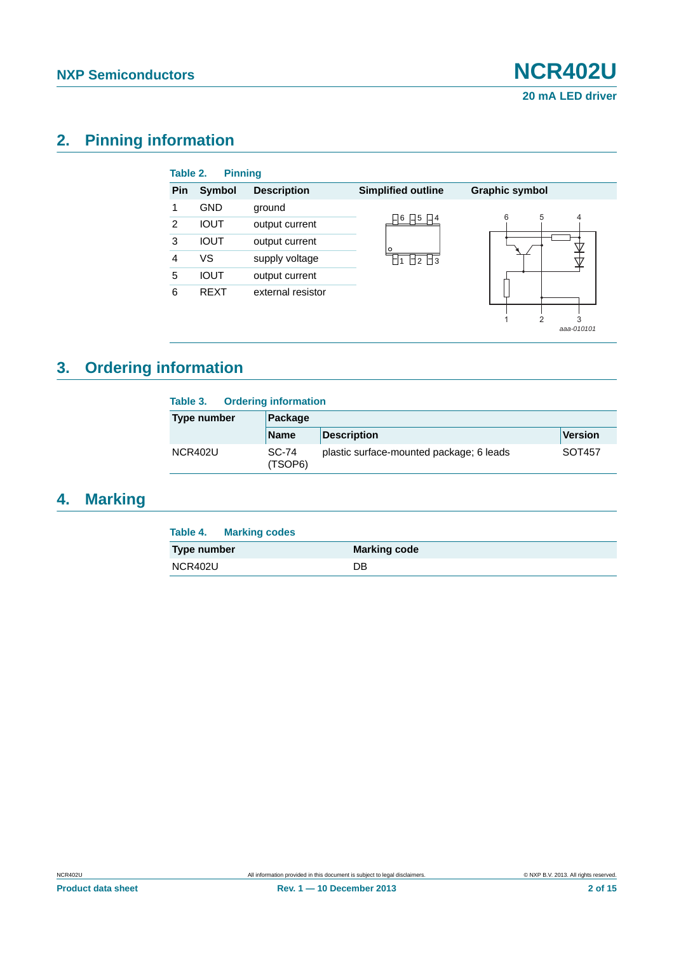*aaa-010101*

# <span id="page-1-0"></span>**2. Pinning information**

| Table 2. | <b>Pinning</b> |                    |                           |                       |
|----------|----------------|--------------------|---------------------------|-----------------------|
| Pin      | <b>Symbol</b>  | <b>Description</b> | <b>Simplified outline</b> | <b>Graphic symbol</b> |
|          | <b>GND</b>     | ground             |                           |                       |
| 2        | <b>IOUT</b>    | output current     | 6<br>15<br> _  4          | 6<br>5<br>4           |
| 3        | <b>IOUT</b>    | output current     | Ο                         |                       |
| 4        | VS             | supply voltage     | $\Box$ 2 $\Box$ 3         |                       |
| 5        | <b>IOUT</b>    | output current     |                           |                       |
| 6        | <b>REXT</b>    | external resistor  |                           |                       |
|          |                |                    |                           | 3                     |

# <span id="page-1-1"></span>**3. Ordering information**

| <b>Ordering information</b><br>Table 3. |                  |                                          |         |  |  |  |
|-----------------------------------------|------------------|------------------------------------------|---------|--|--|--|
| Type number                             | Package          |                                          |         |  |  |  |
|                                         | <b>Name</b>      | <b>Description</b>                       | Version |  |  |  |
| <b>NCR402U</b>                          | SC-74<br>(TSOP6) | plastic surface-mounted package; 6 leads | SOT457  |  |  |  |

# <span id="page-1-2"></span>**4. Marking**

| Table 4. Marking codes |                     |
|------------------------|---------------------|
| Type number            | <b>Marking code</b> |
| NCR402U                | DB                  |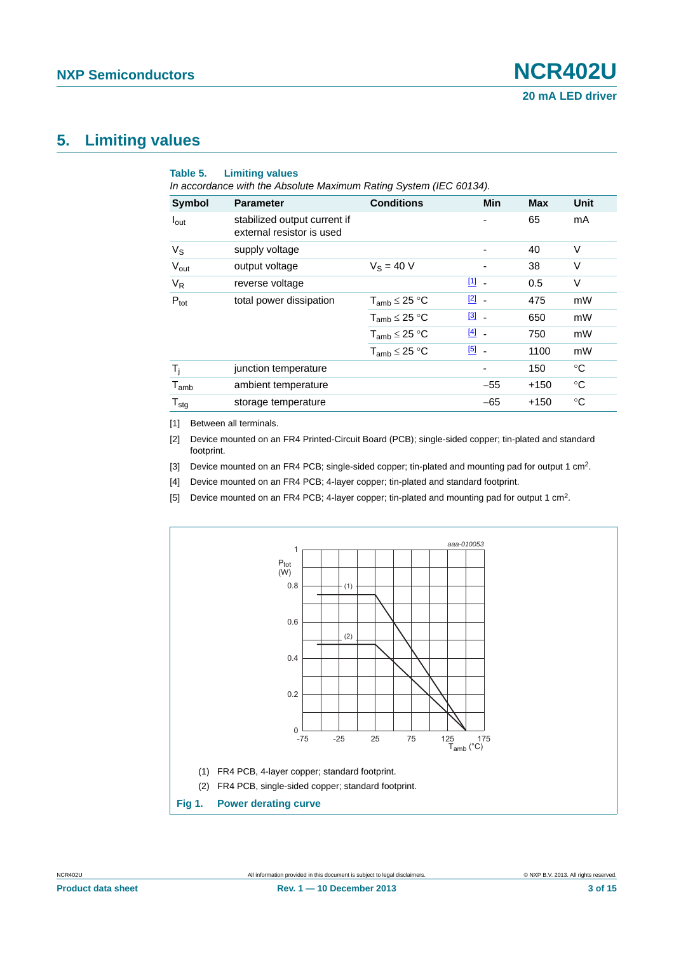#### <span id="page-2-5"></span>**5. Limiting values**

| <b>Symbol</b>       | <b>Parameter</b>                                          | <b>Conditions</b>    | Min           | <b>Max</b> | Unit        |
|---------------------|-----------------------------------------------------------|----------------------|---------------|------------|-------------|
| $I_{\text{out}}$    | stabilized output current if<br>external resistor is used |                      | -             | 65         | mA          |
| $V_S$               | supply voltage                                            |                      | -             | 40         | $\vee$      |
| $V_{\text{out}}$    | output voltage                                            | $V_S = 40 V$         |               | 38         | $\vee$      |
| $V_R$               | reverse voltage                                           |                      | $11 -$        | 0.5        | $\vee$      |
| $P_{\text{tot}}$    | total power dissipation                                   | $T_{amb} \leq 25 °C$ | $\boxed{2}$ - | 475        | mW          |
|                     |                                                           | $T_{amb} \leq 25 °C$ | $\boxed{3}$ - | 650        | mW          |
|                     |                                                           | $T_{amb} \leq 25 °C$ | $[4]$ -       | 750        | mW          |
|                     |                                                           | $T_{amb} \leq 25 °C$ | $\boxed{5}$ - | 1100       | mW          |
| $T_i$               | junction temperature                                      |                      | ٠             | 150        | $^{\circ}C$ |
| $T_{amb}$           | ambient temperature                                       |                      | $-55$         | $+150$     | $^{\circ}C$ |
| ${\sf T}_{\sf stg}$ | storage temperature                                       |                      | $-65$         | $+150$     | °C          |

<span id="page-2-0"></span>[1] Between all terminals.

<span id="page-2-1"></span>[2] Device mounted on an FR4 Printed-Circuit Board (PCB); single-sided copper; tin-plated and standard footprint.

<span id="page-2-2"></span>[3] Device mounted on an FR4 PCB; single-sided copper; tin-plated and mounting pad for output 1 cm<sup>2</sup>.

<span id="page-2-3"></span>[4] Device mounted on an FR4 PCB; 4-layer copper; tin-plated and standard footprint.

<span id="page-2-4"></span>[5] Device mounted on an FR4 PCB; 4-layer copper; tin-plated and mounting pad for output 1 cm2.

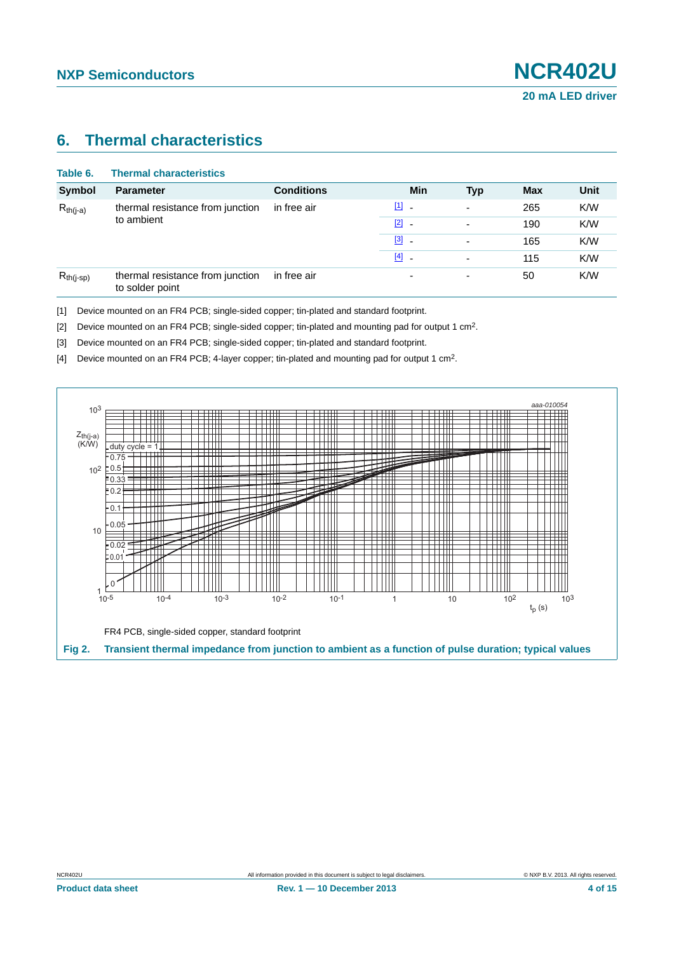#### <span id="page-3-4"></span>**6. Thermal characteristics**

| Table 6.       | <b>Thermal characteristics</b>                      |                   |                          |                          |            |      |
|----------------|-----------------------------------------------------|-------------------|--------------------------|--------------------------|------------|------|
| <b>Symbol</b>  | <b>Parameter</b>                                    | <b>Conditions</b> | Min                      | <b>Typ</b>               | <b>Max</b> | Unit |
| $R_{th(j-a)}$  | thermal resistance from junction<br>to ambient      | in free air       | $[1]$ $-$                | $\overline{\phantom{0}}$ | 265        | K/W  |
|                |                                                     |                   | $\boxed{2}$ -            |                          | 190        | K/W  |
|                |                                                     |                   | $\boxed{3}$ -            | $\overline{\phantom{0}}$ | 165        | K/W  |
|                |                                                     |                   | $[4]$ -                  |                          | 115        | K/W  |
| $R_{th(j-sp)}$ | thermal resistance from junction<br>to solder point | in free air       | $\overline{\phantom{0}}$ | ٠                        | 50         | K/W  |

<span id="page-3-0"></span>[1] Device mounted on an FR4 PCB; single-sided copper; tin-plated and standard footprint.

<span id="page-3-1"></span>[2] Device mounted on an FR4 PCB; single-sided copper; tin-plated and mounting pad for output 1 cm2.

<span id="page-3-2"></span>[3] Device mounted on an FR4 PCB; single-sided copper; tin-plated and standard footprint.

<span id="page-3-3"></span>[4] Device mounted on an FR4 PCB; 4-layer copper; tin-plated and mounting pad for output 1 cm2.

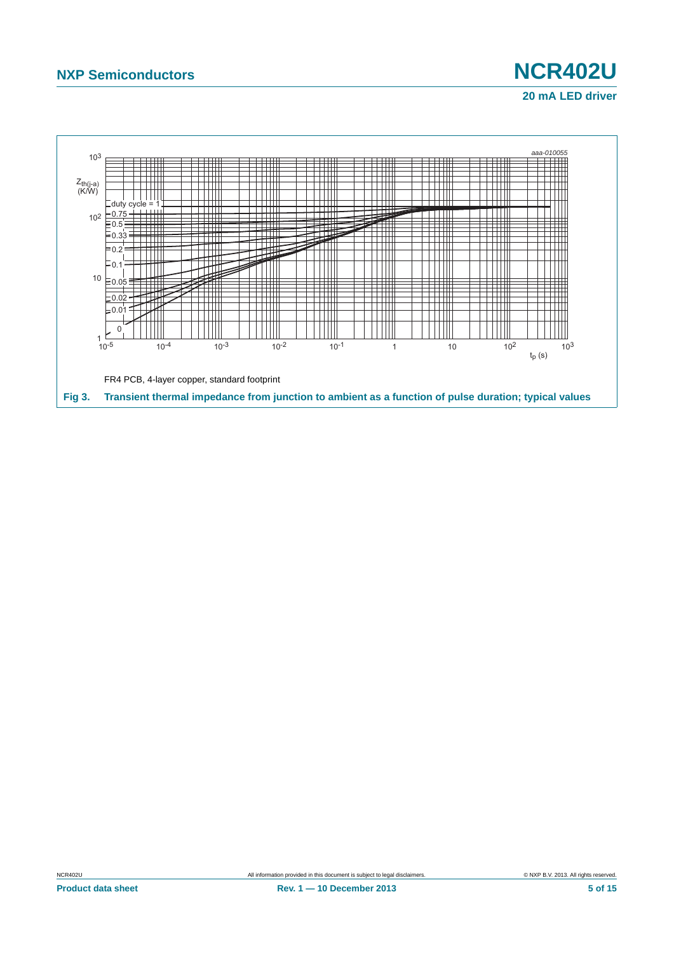

# **20 mA LED driver**

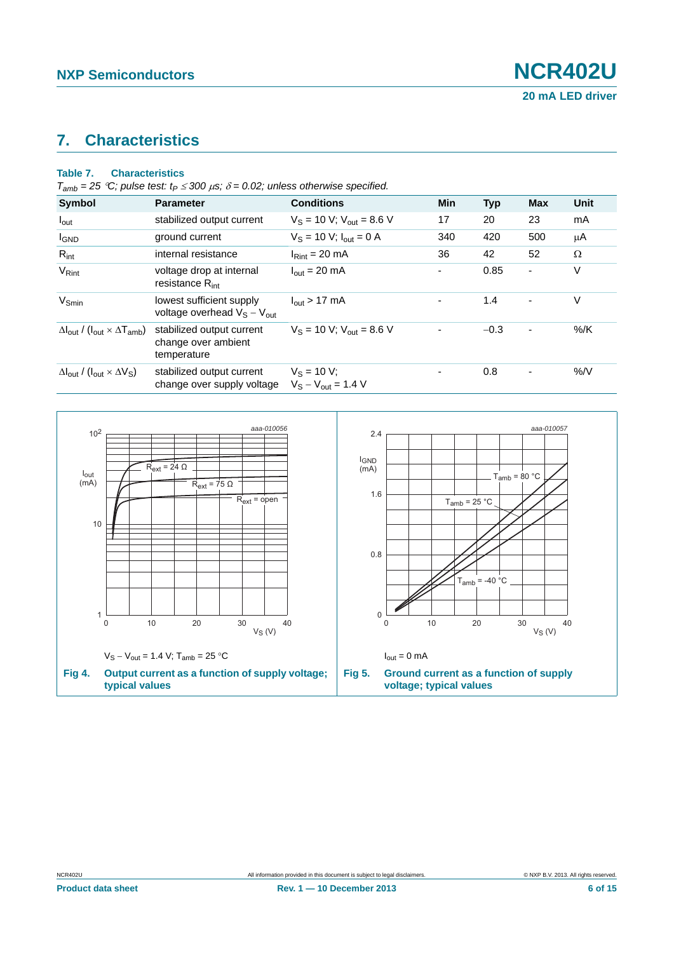# <span id="page-5-0"></span>**7. Characteristics**

#### **Table 7. Characteristics**

|  |  |  | $T_{amb}$ = 25 °C; pulse test: $t_P \le 300 \,\mu s$ ; $\delta$ = 0.02; unless otherwise specified. |
|--|--|--|-----------------------------------------------------------------------------------------------------|
|--|--|--|-----------------------------------------------------------------------------------------------------|

| <b>Symbol</b>                                                               | <b>Parameter</b>                                                | <b>Conditions</b>                         | <b>Min</b> | <b>Typ</b> | <b>Max</b>     | Unit   |
|-----------------------------------------------------------------------------|-----------------------------------------------------------------|-------------------------------------------|------------|------------|----------------|--------|
| $I_{\text{out}}$                                                            | stabilized output current                                       | $V_S = 10 V$ ; $V_{out} = 8.6 V$          | 17         | 20         | 23             | mA     |
| <b>I</b> GND                                                                | ground current                                                  | $V_S = 10 V$ ; $I_{out} = 0 A$            | 340        | 420        | 500            | μA     |
| $R_{int}$                                                                   | internal resistance                                             | $IRint = 20 mA$                           | 36         | 42         | 52             | Ω      |
| $V_{\text{Rint}}$                                                           | voltage drop at internal<br>resistance $R_{int}$                | $I_{\text{out}} = 20 \text{ mA}$          | ٠          | 0.85       | $\blacksquare$ | V      |
| $V_{Smin}$                                                                  | lowest sufficient supply<br>voltage overhead $V_S - V_{out}$    | $I_{\text{out}}$ > 17 mA                  |            | 1.4        | $\overline{a}$ | V      |
| $\Delta I_{\text{out}}$ / ( $I_{\text{out}} \times \Delta T_{\text{amb}}$ ) | stabilized output current<br>change over ambient<br>temperature | $V_S = 10$ V; $V_{out} = 8.6$ V           |            | $-0.3$     | $\blacksquare$ | $%$ /K |
| $\Delta I_{\text{out}}$ / ( $I_{\text{out}} \times \Delta V_{\text{S}}$ )   | stabilized output current<br>change over supply voltage         | $V_S = 10 V$ ;<br>$V_S - V_{out} = 1.4 V$ |            | 0.8        | $\blacksquare$ | %N     |

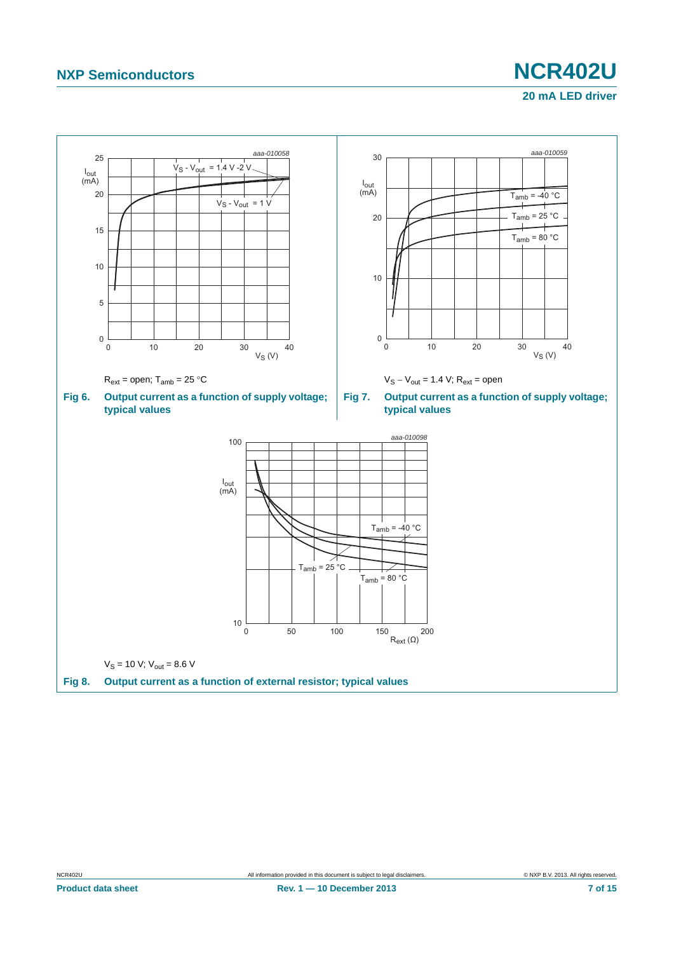# **NXP Semiconductors NCR402U 20 mA LED driver**

<span id="page-6-0"></span>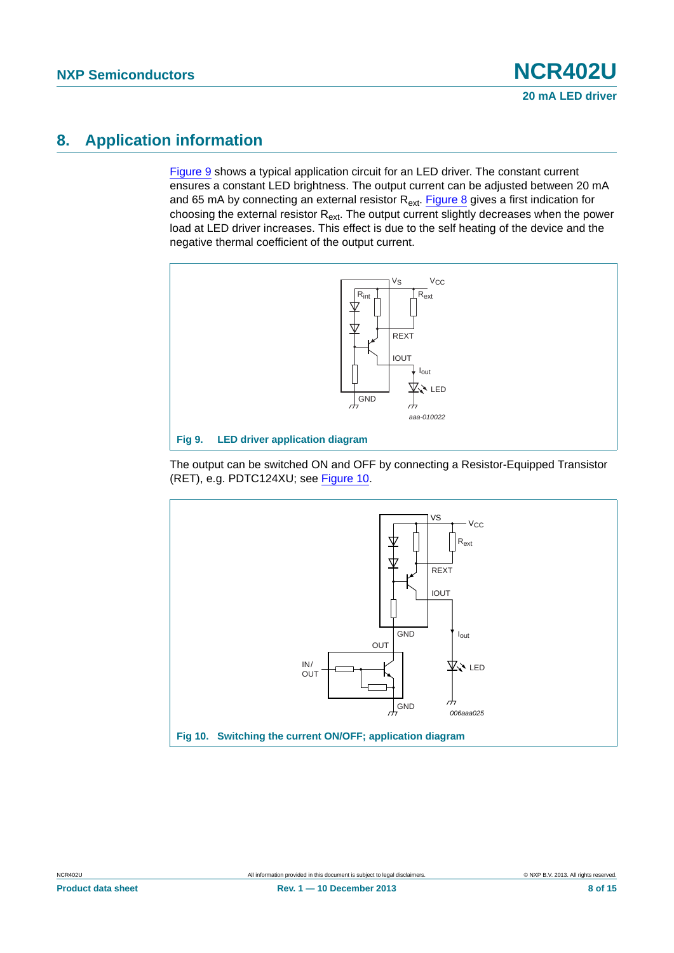# <span id="page-7-2"></span>**8. Application information**

[Figure 9](#page-7-0) shows a typical application circuit for an LED driver. The constant current ensures a constant LED brightness. The output current can be adjusted between 20 mA and 65 mA by connecting an external resistor  $R_{ext}$ . [Figure 8](#page-6-0) gives a first indication for choosing the external resistor  $R_{ext}$ . The output current slightly decreases when the power load at LED driver increases. This effect is due to the self heating of the device and the negative thermal coefficient of the output current.



<span id="page-7-0"></span>The output can be switched ON and OFF by connecting a Resistor-Equipped Transistor (RET), e.g. PDTC124XU; see [Figure 10](#page-7-1).

<span id="page-7-1"></span>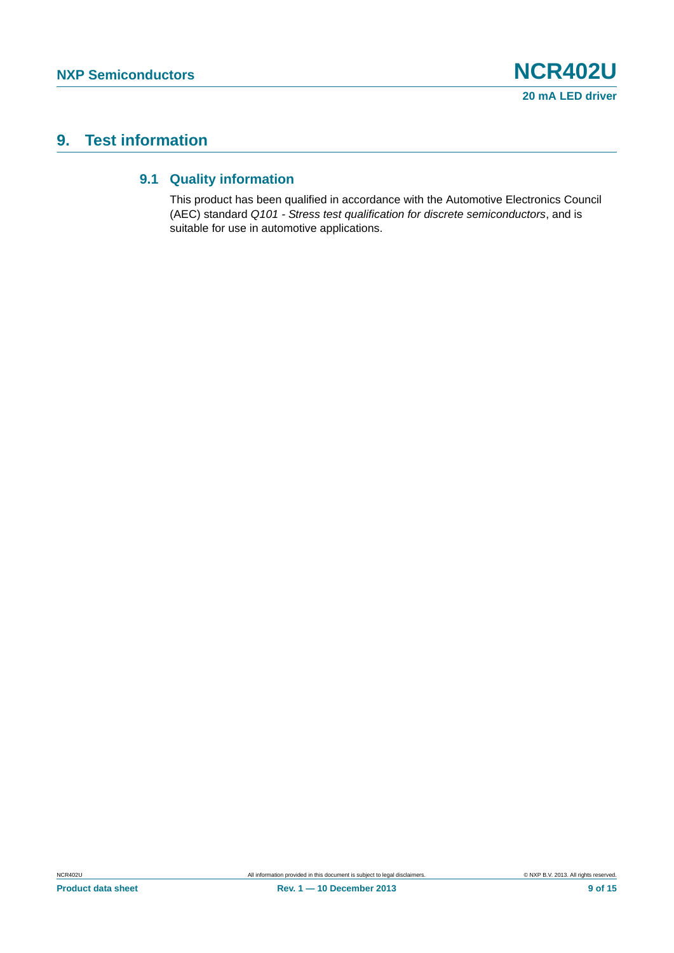# <span id="page-8-1"></span><span id="page-8-0"></span>**9. Test information**

#### **9.1 Quality information**

This product has been qualified in accordance with the Automotive Electronics Council (AEC) standard *Q101 - Stress test qualification for discrete semiconductors*, and is suitable for use in automotive applications.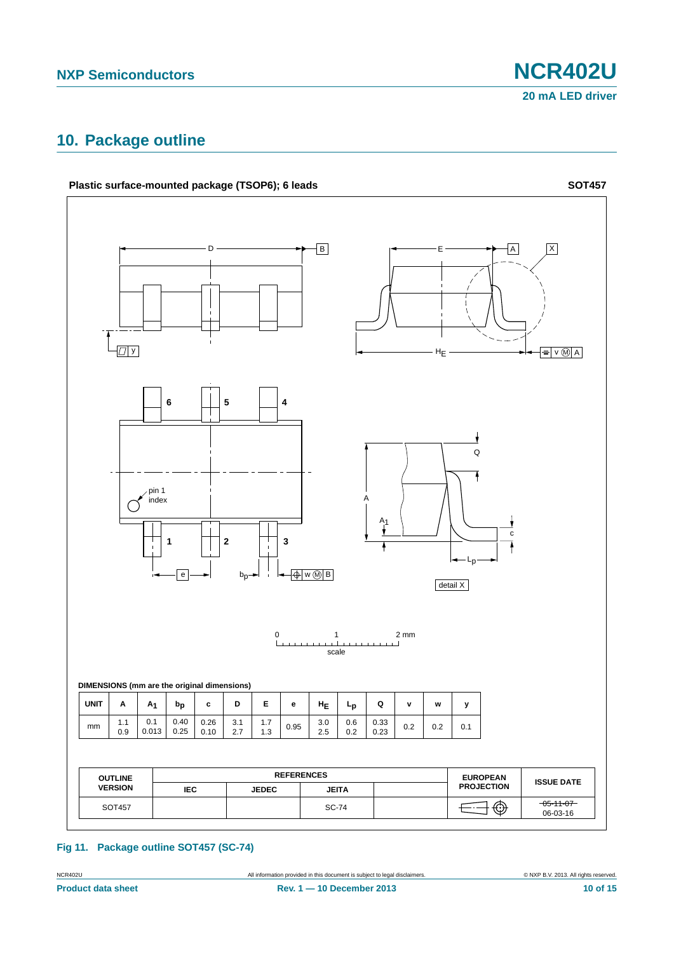## <span id="page-9-0"></span>**10. Package outline**



**Fig 11. Package outline SOT457 (SC-74)**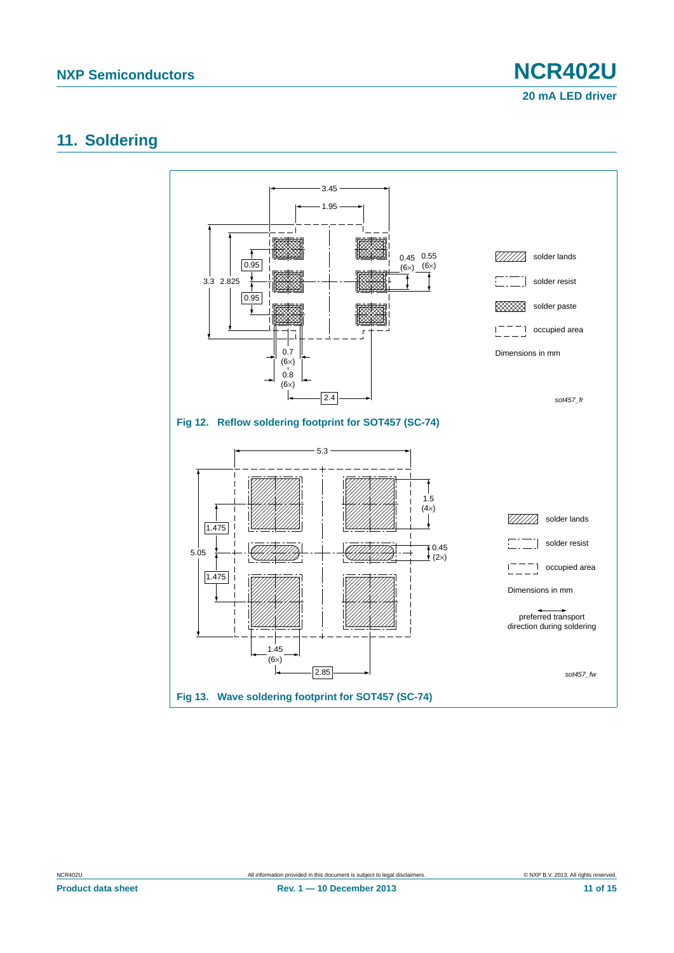**20 mA LED driver**

#### <span id="page-10-0"></span>**11. Soldering**



**Product data sheet Rev. 1 — 10 December 2013** 11 of 15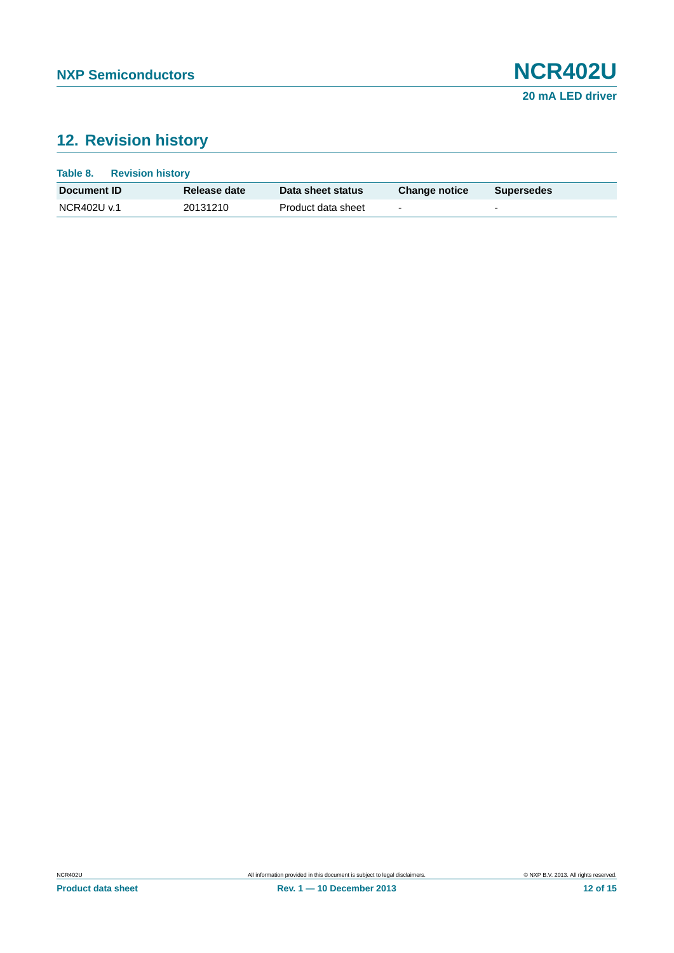# <span id="page-11-0"></span>**12. Revision history**

| Table 8.           | <b>Revision history</b> |                    |                          |                          |
|--------------------|-------------------------|--------------------|--------------------------|--------------------------|
| Document <b>ID</b> | Release date            | Data sheet status  | <b>Change notice</b>     | <b>Supersedes</b>        |
| NCR402U v.1        | 20131210                | Product data sheet | $\overline{\phantom{0}}$ | $\overline{\phantom{a}}$ |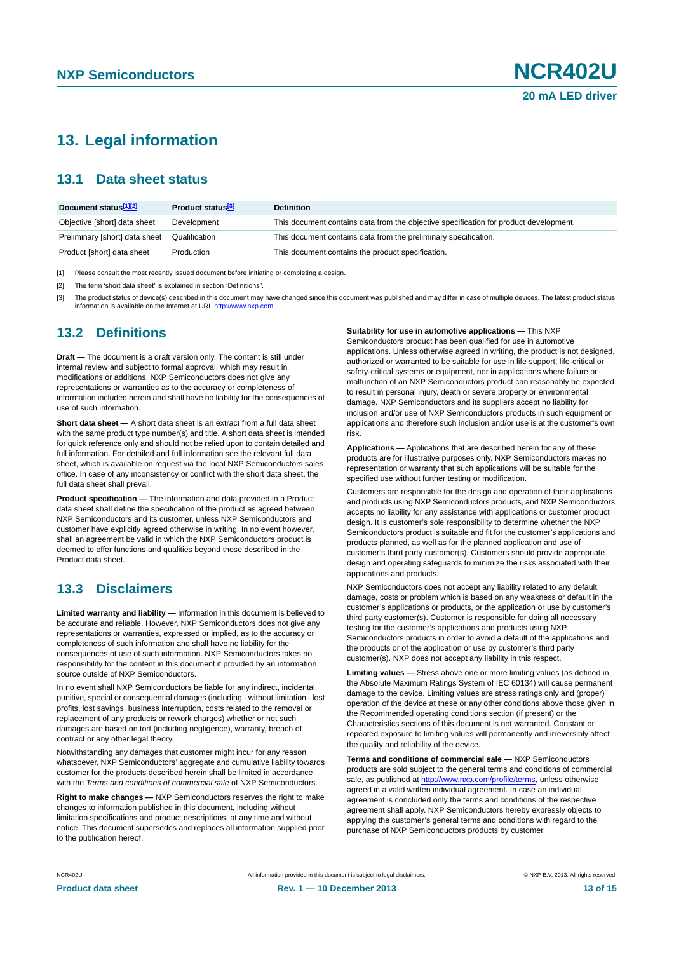### <span id="page-12-3"></span>**13. Legal information**

#### <span id="page-12-4"></span>**13.1 Data sheet status**

| Document status[1][2]          | Product status <sup>[3]</sup> | <b>Definition</b>                                                                     |
|--------------------------------|-------------------------------|---------------------------------------------------------------------------------------|
| Objective [short] data sheet   | Development                   | This document contains data from the objective specification for product development. |
| Preliminary [short] data sheet | Qualification                 | This document contains data from the preliminary specification.                       |
| Product [short] data sheet     | Production                    | This document contains the product specification.                                     |

<span id="page-12-0"></span>[1] Please consult the most recently issued document before initiating or completing a design.

<span id="page-12-1"></span>[2] The term 'short data sheet' is explained in section "Definitions".

<span id="page-12-2"></span>[3] The product status of device(s) described in this document may have changed since this document was published and may differ in case of multiple devices. The latest product status<br>information is available on the Intern

#### <span id="page-12-5"></span>**13.2 Definitions**

**Draft —** The document is a draft version only. The content is still under internal review and subject to formal approval, which may result in modifications or additions. NXP Semiconductors does not give any representations or warranties as to the accuracy or completeness of information included herein and shall have no liability for the consequences of use of such information.

**Short data sheet —** A short data sheet is an extract from a full data sheet with the same product type number(s) and title. A short data sheet is intended for quick reference only and should not be relied upon to contain detailed and full information. For detailed and full information see the relevant full data sheet, which is available on request via the local NXP Semiconductors sales office. In case of any inconsistency or conflict with the short data sheet, the full data sheet shall prevail.

**Product specification —** The information and data provided in a Product data sheet shall define the specification of the product as agreed between NXP Semiconductors and its customer, unless NXP Semiconductors and customer have explicitly agreed otherwise in writing. In no event however, shall an agreement be valid in which the NXP Semiconductors product is deemed to offer functions and qualities beyond those described in the Product data sheet.

#### <span id="page-12-6"></span>**13.3 Disclaimers**

**Limited warranty and liability —** Information in this document is believed to be accurate and reliable. However, NXP Semiconductors does not give any representations or warranties, expressed or implied, as to the accuracy or completeness of such information and shall have no liability for the consequences of use of such information. NXP Semiconductors takes no responsibility for the content in this document if provided by an information source outside of NXP Semiconductors.

In no event shall NXP Semiconductors be liable for any indirect, incidental, punitive, special or consequential damages (including - without limitation - lost profits, lost savings, business interruption, costs related to the removal or replacement of any products or rework charges) whether or not such damages are based on tort (including negligence), warranty, breach of contract or any other legal theory.

Notwithstanding any damages that customer might incur for any reason whatsoever, NXP Semiconductors' aggregate and cumulative liability towards customer for the products described herein shall be limited in accordance with the *Terms and conditions of commercial sale* of NXP Semiconductors.

**Right to make changes —** NXP Semiconductors reserves the right to make changes to information published in this document, including without limitation specifications and product descriptions, at any time and without notice. This document supersedes and replaces all information supplied prior to the publication hereof.

**Suitability for use in automotive applications —** This NXP

Semiconductors product has been qualified for use in automotive applications. Unless otherwise agreed in writing, the product is not designed, authorized or warranted to be suitable for use in life support, life-critical or safety-critical systems or equipment, nor in applications where failure or malfunction of an NXP Semiconductors product can reasonably be expected to result in personal injury, death or severe property or environmental damage. NXP Semiconductors and its suppliers accept no liability for inclusion and/or use of NXP Semiconductors products in such equipment or applications and therefore such inclusion and/or use is at the customer's own risk.

**Applications —** Applications that are described herein for any of these products are for illustrative purposes only. NXP Semiconductors makes no representation or warranty that such applications will be suitable for the specified use without further testing or modification.

Customers are responsible for the design and operation of their applications and products using NXP Semiconductors products, and NXP Semiconductors accepts no liability for any assistance with applications or customer product design. It is customer's sole responsibility to determine whether the NXP Semiconductors product is suitable and fit for the customer's applications and products planned, as well as for the planned application and use of customer's third party customer(s). Customers should provide appropriate design and operating safeguards to minimize the risks associated with their applications and products.

NXP Semiconductors does not accept any liability related to any default, damage, costs or problem which is based on any weakness or default in the customer's applications or products, or the application or use by customer's third party customer(s). Customer is responsible for doing all necessary testing for the customer's applications and products using NXP Semiconductors products in order to avoid a default of the applications and the products or of the application or use by customer's third party customer(s). NXP does not accept any liability in this respect.

**Limiting values —** Stress above one or more limiting values (as defined in the Absolute Maximum Ratings System of IEC 60134) will cause permanent damage to the device. Limiting values are stress ratings only and (proper) operation of the device at these or any other conditions above those given in the Recommended operating conditions section (if present) or the Characteristics sections of this document is not warranted. Constant or repeated exposure to limiting values will permanently and irreversibly affect the quality and reliability of the device.

**Terms and conditions of commercial sale —** NXP Semiconductors products are sold subject to the general terms and conditions of commercial sale, as published at<http://www.nxp.com/profile/terms>, unless otherwise agreed in a valid written individual agreement. In case an individual agreement is concluded only the terms and conditions of the respective agreement shall apply. NXP Semiconductors hereby expressly objects to applying the customer's general terms and conditions with regard to the purchase of NXP Semiconductors products by customer.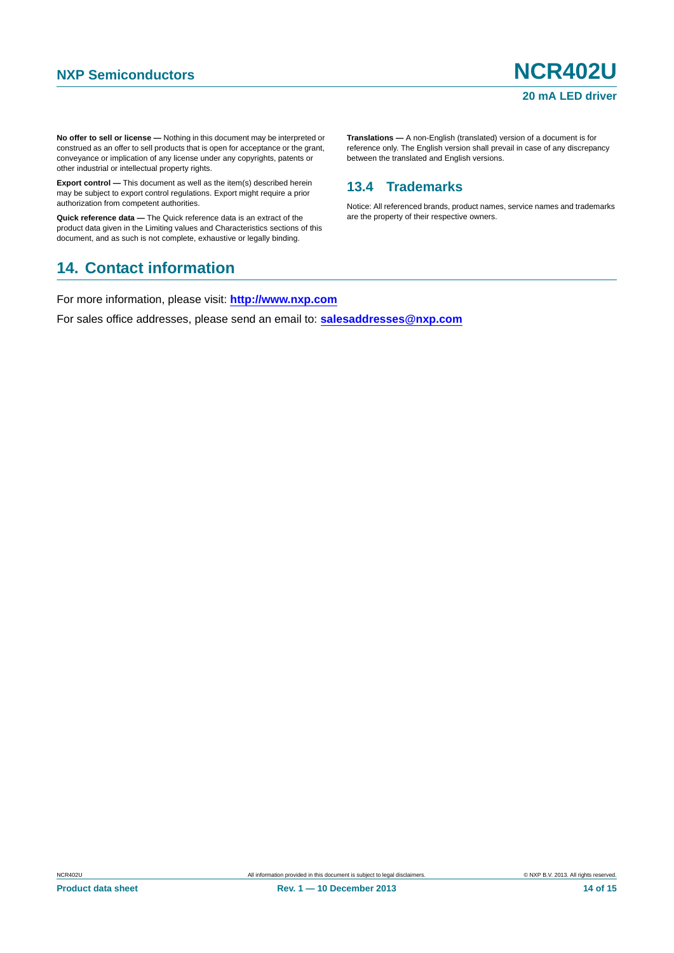**No offer to sell or license —** Nothing in this document may be interpreted or construed as an offer to sell products that is open for acceptance or the grant, conveyance or implication of any license under any copyrights, patents or other industrial or intellectual property rights.

**Export control —** This document as well as the item(s) described herein may be subject to export control regulations. Export might require a prior authorization from competent authorities.

**Quick reference data —** The Quick reference data is an extract of the product data given in the Limiting values and Characteristics sections of this document, and as such is not complete, exhaustive or legally binding.

#### <span id="page-13-1"></span>**14. Contact information**

For more information, please visit: **http://www.nxp.com**

For sales office addresses, please send an email to: **salesaddresses@nxp.com**

**Translations —** A non-English (translated) version of a document is for reference only. The English version shall prevail in case of any discrepancy between the translated and English versions.

#### <span id="page-13-0"></span>**13.4 Trademarks**

Notice: All referenced brands, product names, service names and trademarks are the property of their respective owners.